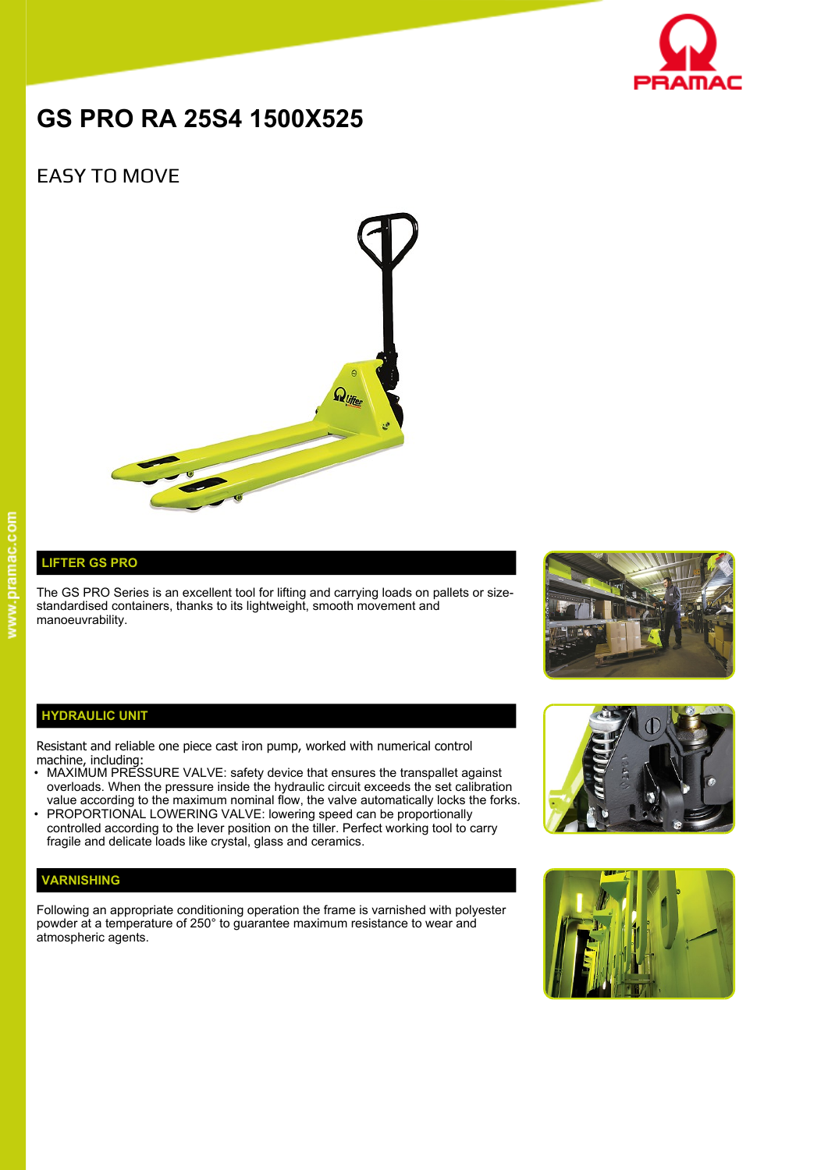

# **GS PRO RA 25S4 1500X525**

# EASY TO MOVE



## **LIFTER GS PRO**

The GS PRO Series is an excellent tool for lifting and carrying loads on pallets or sizestandardised containers, thanks to its lightweight, smooth movement and manoeuvrability.



#### **HYDRAULIC UNIT**

Resistant and reliable one piece cast iron pump, worked with numerical control machine, including:

- MAXIMUM PRESSURE VALVE: safety device that ensures the transpallet against overloads. When the pressure inside the hydraulic circuit exceeds the set calibration value according to the maximum nominal flow, the valve automatically locks the forks.
- PROPORTIONAL LOWERING VALVE: lowering speed can be proportionally controlled according to the lever position on the tiller. Perfect working tool to carry fragile and delicate loads like crystal, glass and ceramics.

### **VARNISHING**

Following an appropriate conditioning operation the frame is varnished with polyester powder at a temperature of 250° to guarantee maximum resistance to wear and atmospheric agents.



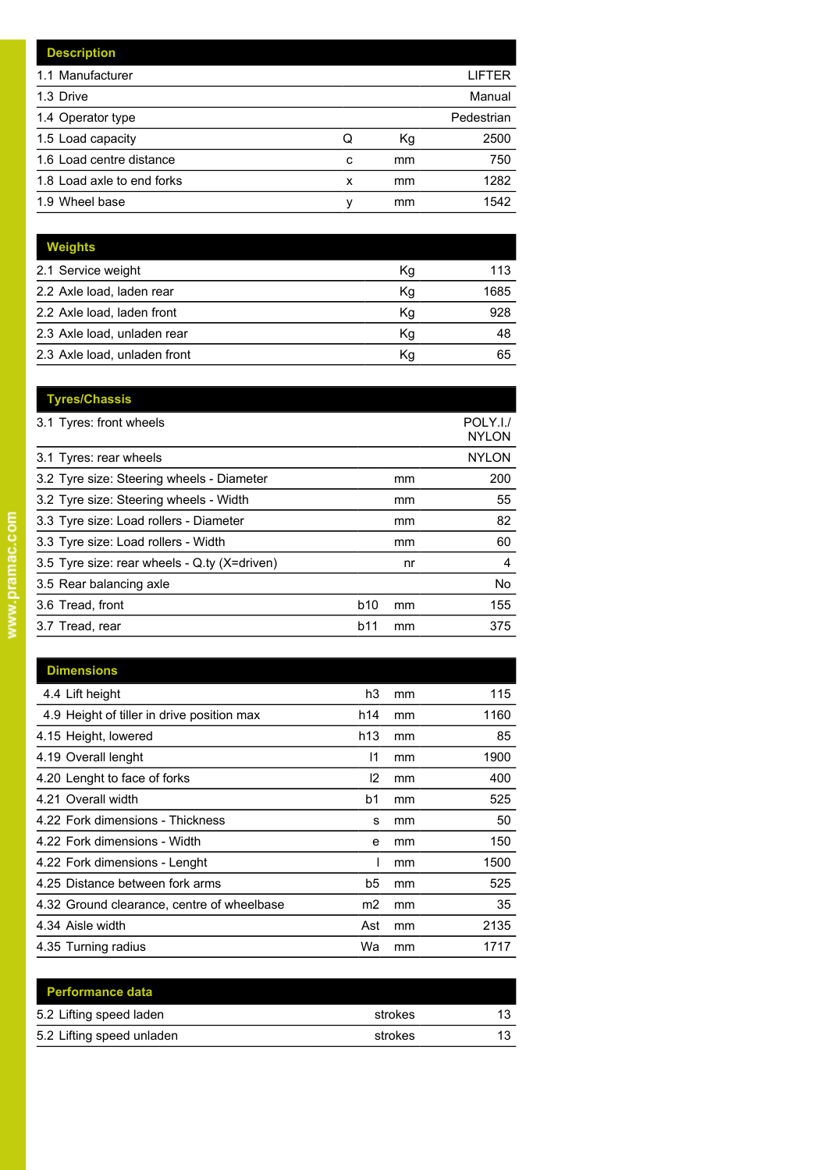| <b>Description</b>         |   |    |            |
|----------------------------|---|----|------------|
| 1.1 Manufacturer           |   |    | LIFTER     |
| 1.3 Drive                  |   |    | Manual     |
| 1.4 Operator type          |   |    | Pedestrian |
| 1.5 Load capacity          | Q | Кg | 2500       |
| 1.6 Load centre distance   | c | mm | 750        |
| 1.8 Load axle to end forks | x | mm | 1282       |
| 1.9 Wheel base             | v | mm | 1542       |

| <b>Weights</b>               |    |      |
|------------------------------|----|------|
| 2.1 Service weight           | Кg | 113  |
| 2.2 Axle load, laden rear    | Kg | 1685 |
| 2.2 Axle load, laden front   | Κg | 928  |
| 2.3 Axle load, unladen rear  | Κq | 48   |
| 2.3 Axle load, unladen front | Κq | 65   |

| <b>Tyres/Chassis</b>                         |                 |    |                          |
|----------------------------------------------|-----------------|----|--------------------------|
| 3.1 Tyres: front wheels                      |                 |    | POLY.I./<br><b>NYLON</b> |
| 3.1 Tyres: rear wheels                       |                 |    | <b>NYLON</b>             |
| 3.2 Tyre size: Steering wheels - Diameter    |                 | mm | 200                      |
| 3.2 Tyre size: Steering wheels - Width       |                 | mm | 55                       |
| 3.3 Tyre size: Load rollers - Diameter       |                 | mm | 82                       |
| 3.3 Tyre size: Load rollers - Width          |                 | mm | 60                       |
| 3.5 Tyre size: rear wheels - Q.ty (X=driven) |                 | nr | 4                        |
| 3.5 Rear balancing axle                      |                 |    | No.                      |
| 3.6 Tread, front                             | b <sub>10</sub> | mm | 155                      |
| 3.7 Tread, rear                              | b11             | mm | 375                      |
|                                              |                 |    |                          |

| <b>Dimensions</b>                          |                |    |      |
|--------------------------------------------|----------------|----|------|
| 4.4 Lift height                            | h3             | mm | 115  |
| 4.9 Height of tiller in drive position max | h14            | mm | 1160 |
| 4.15 Height, lowered                       | h13            | mm | 85   |
| 4.19 Overall lenght                        | 11             | mm | 1900 |
| 4.20 Lenght to face of forks               | 12             | mm | 400  |
| 4.21 Overall width                         | b1             | mm | 525  |
| 4.22 Fork dimensions - Thickness           | s              | mm | 50   |
| 4.22 Fork dimensions - Width               | е              | mm | 150  |
| 4.22 Fork dimensions - Lenght              |                | mm | 1500 |
| 4.25 Distance between fork arms            | b5             | mm | 525  |
| 4.32 Ground clearance, centre of wheelbase | m <sub>2</sub> | mm | 35   |
| 4.34 Aisle width                           | Ast            | mm | 2135 |
| 4.35 Turning radius                        | Wa             | mm | 1717 |

| <b>Performance data</b>   |         |    |
|---------------------------|---------|----|
| 5.2 Lifting speed laden   | strokes | 13 |
| 5.2 Lifting speed unladen | strokes | 13 |
|                           |         |    |